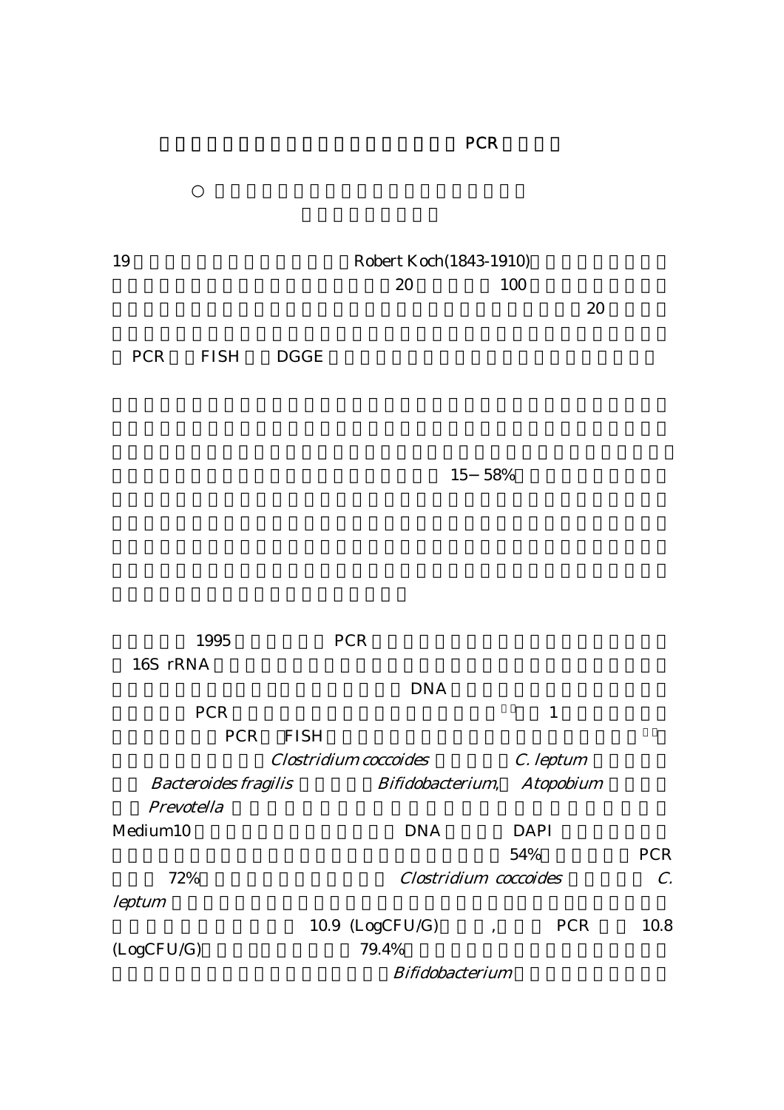| 19                                        |                           | <b>Robert Koch (1843-1910)</b>      |                                        |                 |  |  |  |  |  |
|-------------------------------------------|---------------------------|-------------------------------------|----------------------------------------|-----------------|--|--|--|--|--|
|                                           |                           | 20                                  | 100                                    |                 |  |  |  |  |  |
|                                           |                           |                                     | 20                                     |                 |  |  |  |  |  |
|                                           |                           |                                     |                                        |                 |  |  |  |  |  |
| <b>PCR</b><br><b>FISH</b>                 | <b>DGGE</b>               |                                     |                                        |                 |  |  |  |  |  |
|                                           |                           |                                     |                                        |                 |  |  |  |  |  |
|                                           |                           |                                     |                                        |                 |  |  |  |  |  |
|                                           |                           |                                     |                                        |                 |  |  |  |  |  |
|                                           |                           |                                     |                                        |                 |  |  |  |  |  |
|                                           |                           | 15                                  | 58%                                    |                 |  |  |  |  |  |
|                                           |                           |                                     |                                        |                 |  |  |  |  |  |
|                                           |                           |                                     |                                        |                 |  |  |  |  |  |
|                                           |                           |                                     |                                        |                 |  |  |  |  |  |
|                                           |                           |                                     |                                        |                 |  |  |  |  |  |
|                                           |                           |                                     |                                        |                 |  |  |  |  |  |
|                                           |                           |                                     |                                        |                 |  |  |  |  |  |
| 1995                                      |                           | <b>PCR</b>                          |                                        |                 |  |  |  |  |  |
| 16S rRNA                                  |                           |                                     |                                        |                 |  |  |  |  |  |
|                                           |                           | <b>DNA</b>                          |                                        |                 |  |  |  |  |  |
| <b>PCR</b>                                |                           |                                     | $\mathbf{1}$                           |                 |  |  |  |  |  |
|                                           | <b>PCR</b><br><b>FISH</b> |                                     |                                        |                 |  |  |  |  |  |
|                                           |                           | Clostridium coccoides               |                                        |                 |  |  |  |  |  |
|                                           |                           |                                     | C. leptum                              |                 |  |  |  |  |  |
| <b>Bacteroides fragilis</b><br>Prevotella |                           | Bifidobacterium,                    | <b>Atopobium</b>                       |                 |  |  |  |  |  |
|                                           |                           |                                     |                                        |                 |  |  |  |  |  |
| Medium10                                  |                           | <b>DNA</b>                          | <b>DAPI</b>                            | <b>PCR</b>      |  |  |  |  |  |
|                                           |                           | 54%<br><b>Clostridium</b> coccoides |                                        |                 |  |  |  |  |  |
| 72%                                       |                           |                                     |                                        | $\mathcal{C}$ . |  |  |  |  |  |
| <b>leptum</b>                             |                           |                                     |                                        |                 |  |  |  |  |  |
|                                           |                           | 10.9 (LogCFU/G)                     | <b>PCR</b><br>$\overline{\phantom{a}}$ | 10.8            |  |  |  |  |  |
| (LogCFU/G)                                |                           | 79.4%                               |                                        |                 |  |  |  |  |  |
| <b>Bifidobacterium</b>                    |                           |                                     |                                        |                 |  |  |  |  |  |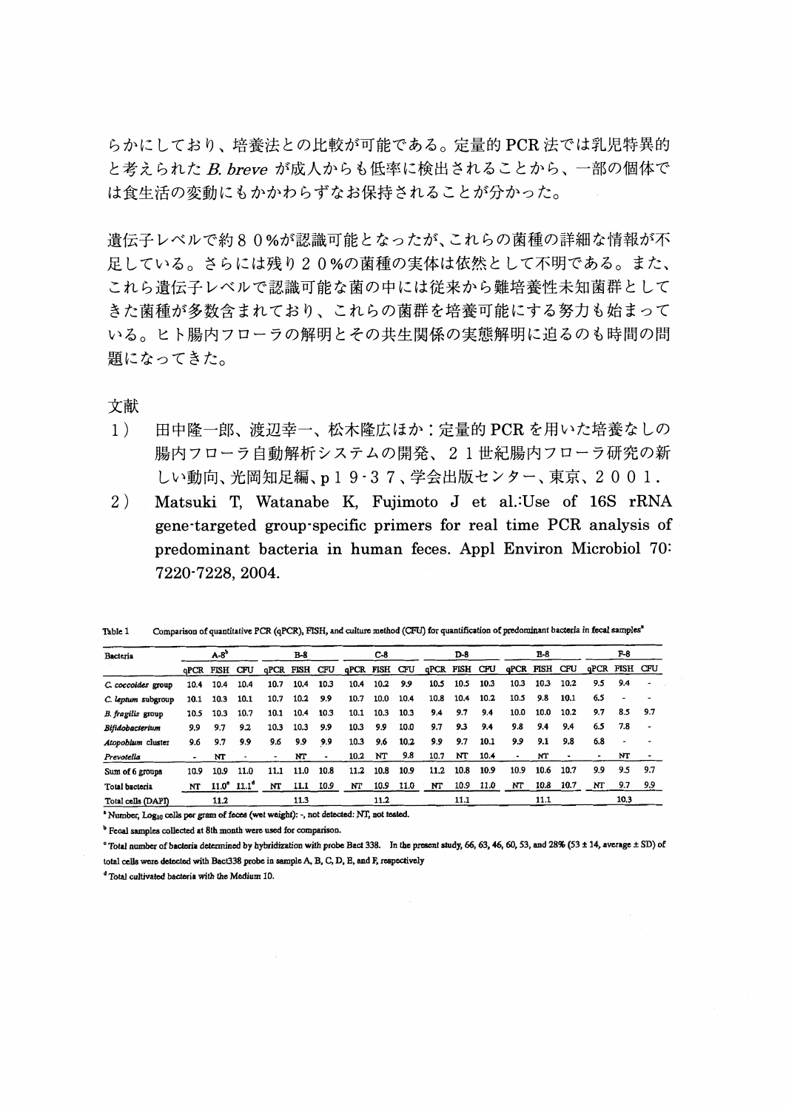らかにしており、培養法との比較が可能である。定量的 PCR 法では乳児特異的 と考えられた B. breve が成人からも低率に検出されることから、一部の個体で は食生活の変動にもかかわらずなお保持されることが分かった。

遺伝子レベルで約80%が認識可能となったが、これらの菌種の詳細な情報が不 足している。さらには残り20%の菌種の実体は依然として不明である。また、 これら遺伝子レベルで認識可能な菌の中には従来から難培養性未知菌群として きた菌種が多数含まれており、これらの菌群を培養可能にする努力も始まって いる。ヒト腸内フローラの解明とその共生関係の実態解明に迫るのも時間の問 題になってきた。

文献

- $1)$ 田中隆一郎、渡辺幸一、松木隆広ほか: 定量的 PCR を用いた培養なしの 腸内フローラ自動解析システムの開発、21世紀腸内フローラ研究の新 しい動向、光岡知足編、p19·37、学会出版センター、東京、2001.
- $2)$ Matsuki T, Watanabe K, Fujimoto J et al. Use of 16S rRNA gene-targeted group-specific primers for real time PCR analysis of predominant bacteria in human feces. Appl Environ Microbiol 70: 7220-7228, 2004.

| Table 1 |  |  |  |  | Comparison of quantitative PCR (qPCR), FISH, and culture method (CFU) for quantification of predominant bacteria in fecal samples" |
|---------|--|--|--|--|------------------------------------------------------------------------------------------------------------------------------------|
|---------|--|--|--|--|------------------------------------------------------------------------------------------------------------------------------------|

| Bacteria           | $A-B^b$ |                      | B-8          |               | $C-8$ |      | D-8                  |      |      | E-8           |      |      | F-8                  |      |      |     |               |     |
|--------------------|---------|----------------------|--------------|---------------|-------|------|----------------------|------|------|---------------|------|------|----------------------|------|------|-----|---------------|-----|
|                    |         | <b>QPCR FISH CFU</b> |              | qPCR FISH CFU |       |      | <b>GPCR FISH CFU</b> |      |      | qPCR FISH CFU |      |      | <b>aPCR FISH CFU</b> |      |      |     | qPCR FISH CFU |     |
| C. coccoides group | 10.4    | 10.4                 | 10.4         | 10.7          | 10.4  | 10.3 | 10.4                 | 10.2 | 9.9  | 10.5          | 10.5 | 10.3 | 10.3                 | 10.3 | 10.2 | 9.5 | 9.4           |     |
| C. leptum subgroup | 10.1    | 10.3                 | 10.1         | 10.7          | 10.2  | 9.9  | 10.7                 | 10.0 | 10.4 | 10.8          | 10.4 | 10.2 | 10.5                 | 9.8  | 10.1 | 6.5 |               |     |
| B. fragilis group  | 10.5    | 10.3                 | 10.7         | 10.1          | 10.4  | 10.3 | 10.1                 | 10.3 | 10.3 | 9.4           | 9.7  | 9.4  | 10.0                 | 10.0 | 10.2 | 9.7 | 8.5           | 9.7 |
| Bifidobacterium    | 9.9     | 9.7                  | 9.2          | 10.3          | 10.3  | 9.9  | 10.3                 | 9.9  | 10.0 | 9.7           | 93   | 9.4  | 9.8                  | 9.4  | 9.4  | 6.5 | 7.8           |     |
| Atopobium cluster  | 9.6     | 9.7                  | 9.9          | 9.6           | 9.9   | 9.9  | 10.3                 | 9.6  | 10.2 | 9.9           | 9.7  | 10.1 | 9.9                  | 9.1  | 9.8  | 6.8 | ٠             |     |
| Prevotella         |         | NT                   |              |               | NT    | ٠    | 10.2                 | NT   | 9.8  | 10.7          | NT   | 10.4 |                      | MT   | ٠    | ۰   | NT            |     |
| Sum of 6 groups    | 10.9    | 10.9                 | 11.0         | 11.1          | 11.0  | 10.8 | 11.2                 | 10.8 | 10.9 | 11.2          | 10.8 | 10.9 | 10.9                 | 10.6 | 10.7 | 9.9 | 9.5           | 9.7 |
| Total bacteria     | NT      | $11.0^{\circ}$       | $11.1^\circ$ | NT            | 11.1  | 10.9 | NT                   | 10.9 | 11.0 | NT            | 10.9 | 11.0 | NT                   | 10.8 | 10.7 | NT  | 9.7           | 9.9 |
| Total cells (DAPI) |         | 11.2                 |              |               | 11.3  |      |                      | 11.2 |      |               | 11.1 |      |                      | 11.1 |      |     | 10.3          |     |

\* Number, Log10 cells per gram of feces (wet weight): -, not detected: NT, not tested.

<sup>b</sup> Fecal samples collected at 8th month were used for comparison.

° Total number of bacteria determined by hybridization with probe Bact 338. In the present study, 66, 63, 46, 60, 53, and 28% (53 ± 14, average ± SD) of total cells were detected with Bact338 probe in sample A, B, C, D, E, and F, respectively

<sup>d</sup> Total cultivated bacteria with the Medium 10.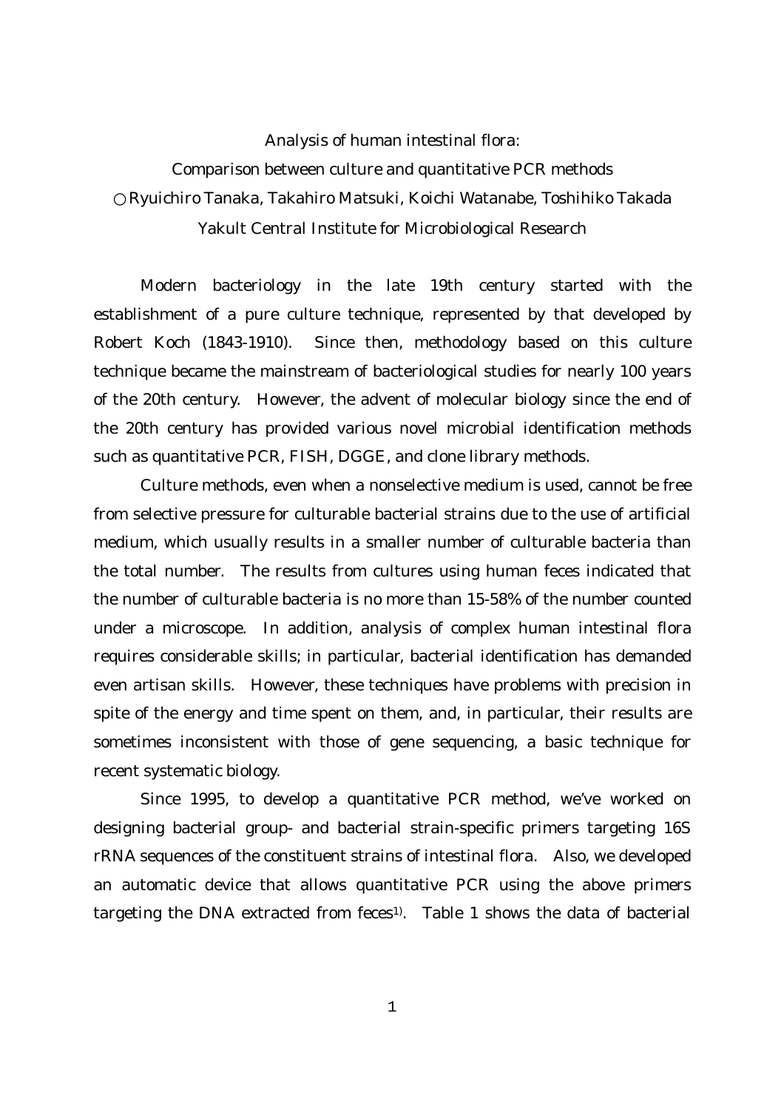Analysis of human intestinal flora: Comparison between culture and quantitative PCR methods Ryuichiro Tanaka, Takahiro Matsuki, Koichi Watanabe, Toshihiko Takada Yakult Central Institute for Microbiological Research

Modern bacteriology in the late 19th century started with the establishment of a pure culture technique, represented by that developed by Robert Koch (1843-1910). Since then, methodology based on this culture technique became the mainstream of bacteriological studies for nearly 100 years of the 20th century. However, the advent of molecular biology since the end of the 20th century has provided various novel microbial identification methods such as quantitative PCR, FISH, DGGE, and clone library methods.

Culture methods, even when a nonselective medium is used, cannot be free from selective pressure for culturable bacterial strains due to the use of artificial medium, which usually results in a smaller number of culturable bacteria than the total number. The results from cultures using human feces indicated that the number of culturable bacteria is no more than 15-58% of the number counted under a microscope. In addition, analysis of complex human intestinal flora requires considerable skills; in particular, bacterial identification has demanded even artisan skills. However, these techniques have problems with precision in spite of the energy and time spent on them, and, in particular, their results are sometimes inconsistent with those of gene sequencing, a basic technique for recent systematic biology.

Since 1995, to develop a quantitative PCR method, we've worked on designing bacterial group- and bacterial strain-specific primers targeting 16S rRNA sequences of the constituent strains of intestinal flora. Also, we developed an automatic device that allows quantitative PCR using the above primers targeting the DNA extracted from feces<sup>1)</sup>. Table 1 shows the data of bacterial

1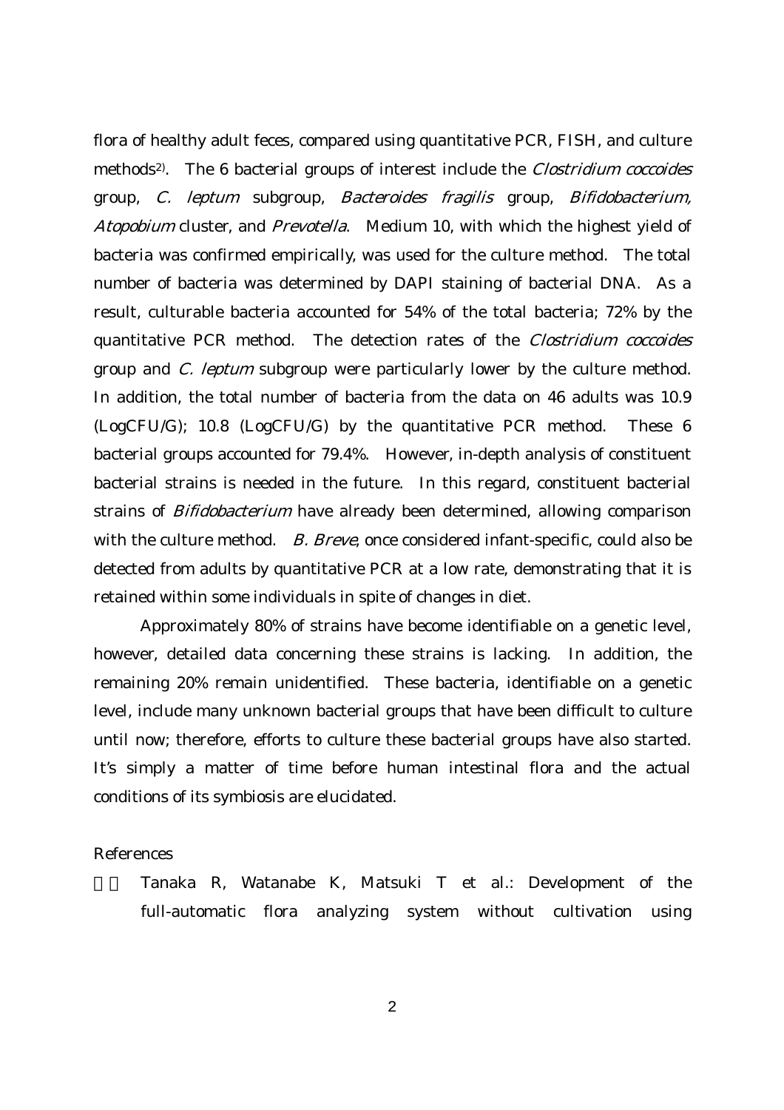flora of healthy adult feces, compared using quantitative PCR, FISH, and culture methods<sup>2)</sup>. The 6 bacterial groups of interest include the *Clostridium coccoides* group, C. leptum subgroup, Bacteroides fragilis group, Bifidobacterium, Atopobium cluster, and Prevotella. Medium 10, with which the highest yield of bacteria was confirmed empirically, was used for the culture method. The total number of bacteria was determined by DAPI staining of bacterial DNA. As a result, culturable bacteria accounted for 54% of the total bacteria; 72% by the quantitative PCR method. The detection rates of the Clostridium coccoides group and C. leptum subgroup were particularly lower by the culture method. In addition, the total number of bacteria from the data on 46 adults was 10.9 (LogCFU/G); 10.8 (LogCFU/G) by the quantitative PCR method. These 6 bacterial groups accounted for 79.4%. However, in-depth analysis of constituent bacterial strains is needed in the future. In this regard, constituent bacterial strains of Bifidobacterium have already been determined, allowing comparison with the culture method. B. Breve, once considered infant-specific, could also be detected from adults by quantitative PCR at a low rate, demonstrating that it is retained within some individuals in spite of changes in diet.

Approximately 80% of strains have become identifiable on a genetic level, however, detailed data concerning these strains is lacking. In addition, the remaining 20% remain unidentified. These bacteria, identifiable on a genetic level, include many unknown bacterial groups that have been difficult to culture until now; therefore, efforts to culture these bacterial groups have also started. It's simply a matter of time before human intestinal flora and the actual conditions of its symbiosis are elucidated.

## References

1) Tanaka R, Watanabe K, Matsuki T et al.: Development of the full-automatic flora analyzing system without cultivation using

 $\overline{2}$